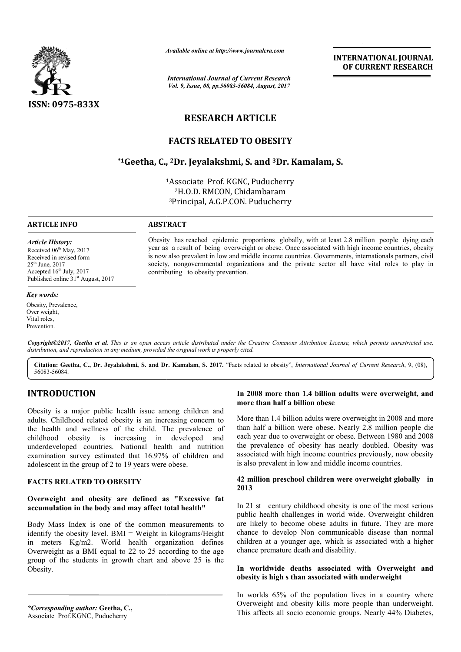

*Available online at http://www.journal http://www.journalcra.com*

*International Journal of Current Research Vol. 9, Issue, 08, pp.56083-56084, August, 2017* **INTERNATIONAL JOURNAL OF CURRENT RESEARCH** 

# **RESEARCH ARTICLE**

# **FACTS RELATED TO OBESITY**

# **\*1Geetha, C., Geetha, 2Dr. Jeyalakshmi, S. and 3Dr. Kamalam, S. Dr.**

1 1Associate Prof. KGNC, Puducherry 2H.O.D. RMCON, Chidambaram 3Principal, A.G.P.CON. Puducherry

## **ARTICLE INFO ABSTRACT**

*Article History:* Received 06<sup>th</sup> May, 2017 Received in revised form 25th June, 2017 Accepted  $16<sup>th</sup>$  July, 2017 Published online  $31<sup>st</sup>$  August, 2017

Obesity has reached epidemic proportions globally, with at least 2.8 million people dying each year as a result of being overweight or obese. Once associated with high income countries, obesity is now also prevalent in low and middle income countries. Governments, internationals partners, civil society, nongovernmental organizations and the private sector all have vital roles to play in contributing to obesity prevention. Obesity has reached epidemic proportions globally, with at least 2.8 million people dying each year as a result of being overweight or obese. Once associated with high income countries, obesity is now also prevalent in low

*Key words:* Obesity, Prevalence, Over weight, Vital roles, Prevention.

Copyright©2017, Geetha et al. This is an open access article distributed under the Creative Commons Attribution License, which permits unrestricted use, *distribution, and reproduction in any medium, provided the original work is properly cited.*

Citation: Geetha, C., Dr. Jeyalakshmi, S. and Dr. Kamalam, S. 2017. "Facts related to obesity", *International Journal of Current Research*, 9, (08), 56083-56084.

# **INTRODUCTION**

Obesity is a major public health issue among children and adults. Childhood related obesity is an increasing concern to the health and wellness of the child. The prevalence of childhood obesity is increasing in developed and underdeveloped countries. National health and nutrition examination survey estimated that 16.97% of children and adolescent in the group of 2 to 19 years were obese.

## **FACTS RELATED TO OBESITY**

#### **Overweight and obesity are defined as "Excessive fat accumulation in the body and may affect total health"**

Body Mass Index is one of the common measurements to identify the obesity level. BMI = Weight in kilograms/Height in meters Kg/m2. World health organization defines Overweight as a BMI equal to 22 to 25 according to the age group of the students in growth chart and above 25 is the Obesity.

*\*Corresponding author:* **Geetha, C.,** Associate Prof.KGNC, Puducherry

#### In 2008 more than 1.4 billion adults were overweight, and **more than half a billion obese**

More than 1.4 billion adults were overweight in 2008 and more More than 1.4 billion adults were overweight in 2008 and more than half a billion were obese. Nearly 2.8 million people die each year due to overweight or obese. Between 1980 and 2008 the prevalence of obesity has nearly doubled. Obesity was the prevalence of obesity has nearly doubled. Obesity was associated with high income countries previously, now obesity associated with high income countries previously, now is also prevalent in low and middle income countries.

#### 42 million preschool children were overweight globally in **2013**

In 21 st century childhood obesity is one of the most serious public health challenges in world wide. Overweight children are likely to become obese adults in future. They are more chance to develop Non communicable disease than normal children at a younger age, which is associated with a higher chance premature death and disability. 21 st century childhood obesity is one of the most serious<br>blic health challenges in world wide. Overweight children<br>blice is likely to become obese adults in future. They are more<br>ance to develop Non communicable disease

#### In worldwide deaths associated with Overweight and **obesity is high s than associated with underweight**

In worlds 65% of the population lives in a country where Overweight and obesity kills more people than underweight. This affects all socio economic groups. Nearly 44% Diabetes,